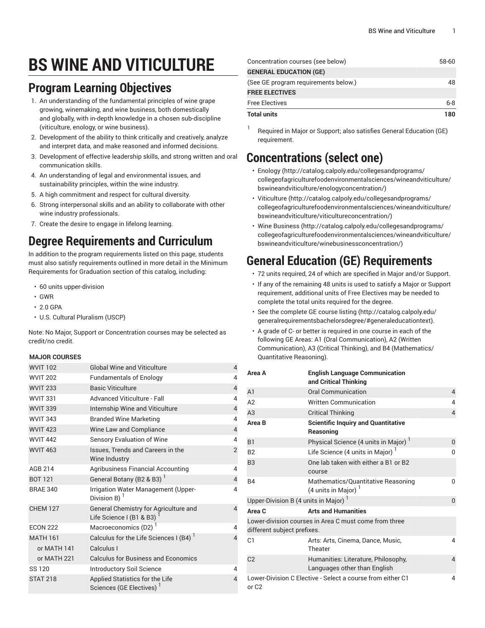# **BS WINE AND VITICULTURE**

### **Program Learning Objectives**

- 1. An understanding of the fundamental principles of wine grape growing, winemaking, and wine business, both domestically and globally, with in-depth knowledge in a chosen sub-discipline (viticulture, enology, or wine business).
- 2. Development of the ability to think critically and creatively, analyze and interpret data, and make reasoned and informed decisions.
- 3. Development of effective leadership skills, and strong written and oral communication skills.
- 4. An understanding of legal and environmental issues, and sustainability principles, within the wine industry.
- 5. A high commitment and respect for cultural diversity.
- 6. Strong interpersonal skills and an ability to collaborate with other wine industry professionals.
- 7. Create the desire to engage in lifelong learning.

# **Degree Requirements and Curriculum**

In addition to the program requirements listed on this page, students must also satisfy requirements outlined in more detail in the Minimum Requirements for Graduation section of this catalog, including:

- 60 units upper-division
- GWR
- 2.0 GPA
- U.S. Cultural Pluralism (USCP)

Note: No Major, Support or Concentration courses may be selected as credit/no credit.

#### **MAJOR COURSES**

| <b>WVIT 102</b> | <b>Global Wine and Viticulture</b>                                      | $\overline{4}$ |
|-----------------|-------------------------------------------------------------------------|----------------|
| <b>WVIT 202</b> | <b>Fundamentals of Enology</b>                                          | 4              |
| <b>WVIT 233</b> | <b>Basic Viticulture</b>                                                | $\overline{4}$ |
| <b>WVIT 331</b> | <b>Advanced Viticulture - Fall</b>                                      | 4              |
| <b>WVIT 339</b> | Internship Wine and Viticulture                                         | $\overline{4}$ |
| <b>WVIT 343</b> | <b>Branded Wine Marketing</b>                                           | 4              |
| <b>WVIT 423</b> | Wine Law and Compliance                                                 | $\overline{4}$ |
| <b>WVIT 442</b> | <b>Sensory Evaluation of Wine</b>                                       | 4              |
| <b>WVIT 463</b> | Issues, Trends and Careers in the<br>Wine Industry                      | $\overline{2}$ |
| AGB 214         | <b>Agribusiness Financial Accounting</b>                                | 4              |
| <b>BOT 121</b>  | General Botany (B2 & B3) <sup>1</sup>                                   | $\overline{4}$ |
| <b>BRAE 340</b> | Irrigation Water Management (Upper-<br>Division B) $1$                  | 4              |
| <b>CHEM 127</b> | General Chemistry for Agriculture and<br>Life Science I (B1 & B3)       | $\overline{4}$ |
| <b>ECON 222</b> | Macroeconomics (D2) <sup>1</sup>                                        | 4              |
| <b>MATH 161</b> | Calculus for the Life Sciences I (B4)                                   | $\overline{4}$ |
| or MATH 141     | Calculus I                                                              |                |
| or MATH 221     | <b>Calculus for Business and Economics</b>                              |                |
| SS 120          | Introductory Soil Science                                               | 4              |
| <b>STAT 218</b> | Applied Statistics for the Life<br>Sciences (GE Electives) <sup>1</sup> | 4              |

| Concentration courses (see below)    | 58-60   |
|--------------------------------------|---------|
| <b>GENERAL EDUCATION (GE)</b>        |         |
| (See GE program requirements below.) | 48      |
| <b>FREE ELECTIVES</b>                |         |
| <b>Free Electives</b>                | $6 - 8$ |
| <b>Total units</b>                   | 180     |

1 Required in Major or Support; also satisfies General Education (GE) requirement.

### **Concentrations (select one)**

- [Enology](http://catalog.calpoly.edu/collegesandprograms/collegeofagriculturefoodenvironmentalsciences/wineandviticulture/bswineandviticulture/enologyconcentration/) ([http://catalog.calpoly.edu/collegesandprograms/](http://catalog.calpoly.edu/collegesandprograms/collegeofagriculturefoodenvironmentalsciences/wineandviticulture/bswineandviticulture/enologyconcentration/) [collegeofagriculturefoodenvironmentalsciences/wineandviticulture/](http://catalog.calpoly.edu/collegesandprograms/collegeofagriculturefoodenvironmentalsciences/wineandviticulture/bswineandviticulture/enologyconcentration/) [bswineandviticulture/enologyconcentration/](http://catalog.calpoly.edu/collegesandprograms/collegeofagriculturefoodenvironmentalsciences/wineandviticulture/bswineandviticulture/enologyconcentration/))
- [Viticulture](http://catalog.calpoly.edu/collegesandprograms/collegeofagriculturefoodenvironmentalsciences/wineandviticulture/bswineandviticulture/viticultureconcentration/) ([http://catalog.calpoly.edu/collegesandprograms/](http://catalog.calpoly.edu/collegesandprograms/collegeofagriculturefoodenvironmentalsciences/wineandviticulture/bswineandviticulture/viticultureconcentration/) [collegeofagriculturefoodenvironmentalsciences/wineandviticulture/](http://catalog.calpoly.edu/collegesandprograms/collegeofagriculturefoodenvironmentalsciences/wineandviticulture/bswineandviticulture/viticultureconcentration/) [bswineandviticulture/viticultureconcentration/\)](http://catalog.calpoly.edu/collegesandprograms/collegeofagriculturefoodenvironmentalsciences/wineandviticulture/bswineandviticulture/viticultureconcentration/)
- [Wine Business](http://catalog.calpoly.edu/collegesandprograms/collegeofagriculturefoodenvironmentalsciences/wineandviticulture/bswineandviticulture/winebusinessconcentration/) ([http://catalog.calpoly.edu/collegesandprograms/](http://catalog.calpoly.edu/collegesandprograms/collegeofagriculturefoodenvironmentalsciences/wineandviticulture/bswineandviticulture/winebusinessconcentration/) [collegeofagriculturefoodenvironmentalsciences/wineandviticulture/](http://catalog.calpoly.edu/collegesandprograms/collegeofagriculturefoodenvironmentalsciences/wineandviticulture/bswineandviticulture/winebusinessconcentration/) [bswineandviticulture/winebusinessconcentration/](http://catalog.calpoly.edu/collegesandprograms/collegeofagriculturefoodenvironmentalsciences/wineandviticulture/bswineandviticulture/winebusinessconcentration/))

# **General Education (GE) Requirements**

- 72 units required, 24 of which are specified in Major and/or Support.
- If any of the remaining 48 units is used to satisfy a Major or Support requirement, additional units of Free Electives may be needed to complete the total units required for the degree.
- See the [complete GE course listing](http://catalog.calpoly.edu/generalrequirementsbachelorsdegree/#generaleducationtext) [\(http://catalog.calpoly.edu/](http://catalog.calpoly.edu/generalrequirementsbachelorsdegree/#generaleducationtext) [generalrequirementsbachelorsdegree/#generaleducationtext](http://catalog.calpoly.edu/generalrequirementsbachelorsdegree/#generaleducationtext)).
- A grade of C- or better is required in one course in each of the following GE Areas: A1 (Oral Communication), A2 (Written Communication), A3 (Critical Thinking), and B4 (Mathematics/ Quantitative Reasoning).

| Area A                                                                               | <b>English Language Communication</b><br>and Critical Thinking      |                         |  |  |
|--------------------------------------------------------------------------------------|---------------------------------------------------------------------|-------------------------|--|--|
| A <sub>1</sub>                                                                       | <b>Oral Communication</b>                                           | $\overline{4}$          |  |  |
| A2                                                                                   | <b>Written Communication</b>                                        | 4                       |  |  |
| A3                                                                                   | <b>Critical Thinking</b>                                            | $\overline{4}$          |  |  |
| Area B                                                                               | <b>Scientific Inquiry and Quantitative</b><br>Reasoning             |                         |  |  |
| <b>B1</b>                                                                            | Physical Science (4 units in Major)                                 | $\Omega$                |  |  |
| B <sub>2</sub>                                                                       | Life Science (4 units in Major) <sup>1</sup>                        | $\Omega$                |  |  |
| B <sub>3</sub>                                                                       | One lab taken with either a B1 or B2<br>course                      |                         |  |  |
| <b>B4</b>                                                                            | Mathematics/Quantitative Reasoning<br>(4 units in Major) $1$        | 0                       |  |  |
| Upper-Division B (4 units in Major) $1$<br>0                                         |                                                                     |                         |  |  |
| Area C                                                                               | <b>Arts and Humanities</b>                                          |                         |  |  |
| Lower-division courses in Area C must come from three<br>different subject prefixes. |                                                                     |                         |  |  |
| C1                                                                                   | Arts: Arts, Cinema, Dance, Music,<br>Theater                        | 4                       |  |  |
| C <sub>2</sub>                                                                       | Humanities: Literature, Philosophy,<br>Languages other than English | $\overline{4}$          |  |  |
| or C <sub>2</sub>                                                                    | Lower-Division C Elective - Select a course from either C1          | $\overline{\mathbf{A}}$ |  |  |